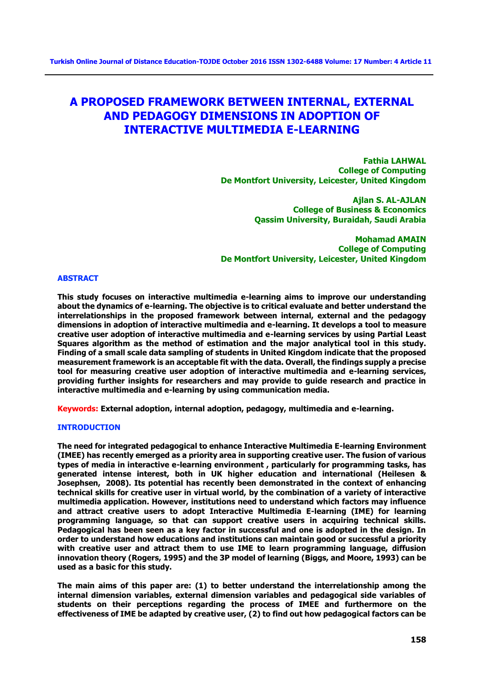# **A PROPOSED FRAMEWORK BETWEEN INTERNAL, EXTERNAL AND PEDAGOGY DIMENSIONS IN ADOPTION OF INTERACTIVE MULTIMEDIA E-LEARNING**

**Fathia LAHWAL College of Computing De Montfort University, Leicester, United Kingdom** 

> **Ajlan S. AL-AJLAN College of Business & Economics Qassim University, Buraidah, Saudi Arabia**

**Mohamad AMAIN College of Computing De Montfort University, Leicester, United Kingdom** 

## **ABSTRACT**

**This study focuses on interactive multimedia e-learning aims to improve our understanding about the dynamics of e-learning. The objective is to critical evaluate and better understand the interrelationships in the proposed framework between internal, external and the pedagogy dimensions in adoption of interactive multimedia and e-learning. It develops a tool to measure creative user adoption of interactive multimedia and e-learning services by using Partial Least Squares algorithm as the method of estimation and the major analytical tool in this study. Finding of a small scale data sampling of students in United Kingdom indicate that the proposed measurement framework is an acceptable fit with the data. Overall, the findings supply a precise tool for measuring creative user adoption of interactive multimedia and e-learning services, providing further insights for researchers and may provide to guide research and practice in interactive multimedia and e-learning by using communication media.** 

**Keywords: External adoption, internal adoption, pedagogy, multimedia and e-learning.** 

#### **INTRODUCTION**

**The need for integrated pedagogical to enhance Interactive Multimedia E-learning Environment (IMEE) has recently emerged as a priority area in supporting creative user. The fusion of various types of media in interactive e-learning environment , particularly for programming tasks, has generated intense interest, both in UK higher education and international (Heilesen & Josephsen, 2008). Its potential has recently been demonstrated in the context of enhancing technical skills for creative user in virtual world, by the combination of a variety of interactive multimedia application. However, institutions need to understand which factors may influence and attract creative users to adopt Interactive Multimedia E-learning (IME) for learning programming language, so that can support creative users in acquiring technical skills. Pedagogical has been seen as a key factor in successful and one is adopted in the design. In order to understand how educations and institutions can maintain good or successful a priority with creative user and attract them to use IME to learn programming language, diffusion innovation theory (Rogers, 1995) and the 3P model of learning (Biggs, and Moore, 1993) can be used as a basic for this study.** 

**The main aims of this paper are: (1) to better understand the interrelationship among the internal dimension variables, external dimension variables and pedagogical side variables of students on their perceptions regarding the process of IMEE and furthermore on the effectiveness of IME be adapted by creative user, (2) to find out how pedagogical factors can be**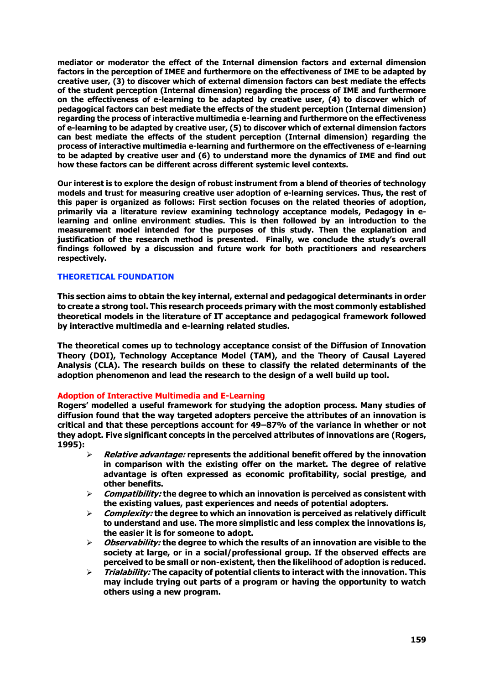**mediator or moderator the effect of the Internal dimension factors and external dimension factors in the perception of IMEE and furthermore on the effectiveness of IME to be adapted by creative user, (3) to discover which of external dimension factors can best mediate the effects of the student perception (Internal dimension) regarding the process of IME and furthermore on the effectiveness of e-learning to be adapted by creative user, (4) to discover which of pedagogical factors can best mediate the effects of the student perception (Internal dimension) regarding the process of interactive multimedia e-learning and furthermore on the effectiveness of e-learning to be adapted by creative user, (5) to discover which of external dimension factors can best mediate the effects of the student perception (Internal dimension) regarding the process of interactive multimedia e-learning and furthermore on the effectiveness of e-learning to be adapted by creative user and (6) to understand more the dynamics of IME and find out how these factors can be different across different systemic level contexts.**

**Our interest is to explore the design of robust instrument from a blend of theories of technology models and trust for measuring creative user adoption of e-learning services. Thus, the rest of this paper is organized as follows: First section focuses on the related theories of adoption, primarily via a literature review examining technology acceptance models, Pedagogy in elearning and online environment studies. This is then followed by an introduction to the measurement model intended for the purposes of this study. Then the explanation and justification of the research method is presented. Finally, we conclude the study's overall findings followed by a discussion and future work for both practitioners and researchers respectively.** 

## **THEORETICAL FOUNDATION**

**This section aims to obtain the key internal, external and pedagogical determinants in order to create a strong tool. This research proceeds primary with the most commonly established theoretical models in the literature of IT acceptance and pedagogical framework followed by interactive multimedia and e-learning related studies.** 

**The theoretical comes up to technology acceptance consist of the Diffusion of Innovation Theory (DOI), Technology Acceptance Model (TAM), and the Theory of Causal Layered Analysis (CLA). The research builds on these to classify the related determinants of the adoption phenomenon and lead the research to the design of a well build up tool.**

## **Adoption of Interactive Multimedia and E-Learning**

**Rogers' modelled a useful framework for studying the adoption process. Many studies of diffusion found that the way targeted adopters perceive the attributes of an innovation is critical and that these perceptions account for 49–87% of the variance in whether or not they adopt. Five significant concepts in the perceived attributes of innovations are (Rogers, 1995):**

- **Relative advantage: represents the additional benefit offered by the innovation in comparison with the existing offer on the market. The degree of relative advantage is often expressed as economic profitability, social prestige, and other benefits.**
- **Compatibility: the degree to which an innovation is perceived as consistent with the existing values, past experiences and needs of potential adopters.**
- **Complexity: the degree to which an innovation is perceived as relatively difficult to understand and use. The more simplistic and less complex the innovations is, the easier it is for someone to adopt.**
- **Observability: the degree to which the results of an innovation are visible to the society at large, or in a social/professional group. If the observed effects are perceived to be small or non-existent, then the likelihood of adoption is reduced.**
- **Trialability: The capacity of potential clients to interact with the innovation. This may include trying out parts of a program or having the opportunity to watch others using a new program.**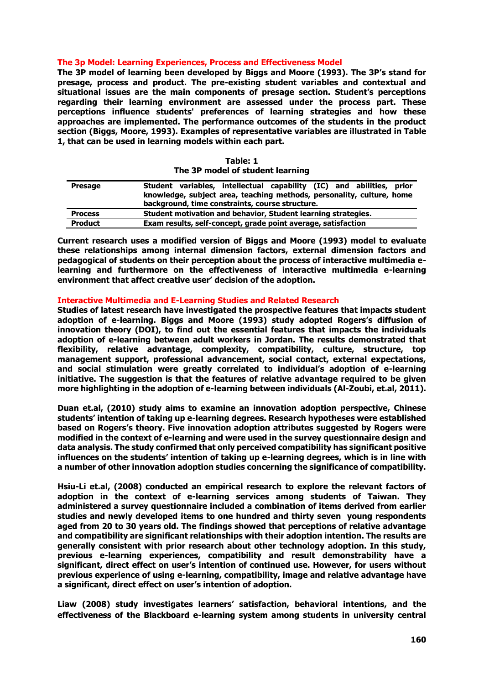#### **The 3p Model: Learning Experiences, Process and Effectiveness Model**

**The 3P model of learning been developed by Biggs and Moore (1993). The 3P's stand for presage, process and product. The pre-existing student variables and contextual and situational issues are the main components of presage section. Student's perceptions regarding their learning environment are assessed under the process part. These perceptions influence students' preferences of learning strategies and how these approaches are implemented. The performance outcomes of the students in the product section (Biggs, Moore, 1993). Examples of representative variables are illustrated in Table 1, that can be used in learning models within each part.**

| The 3P model of student learning |                                                                                                                                                                                                  |  |  |  |  |  |
|----------------------------------|--------------------------------------------------------------------------------------------------------------------------------------------------------------------------------------------------|--|--|--|--|--|
| <b>Presage</b>                   | Student variables, intellectual capability (IC) and abilities, prior<br>knowledge, subject area, teaching methods, personality, culture, home<br>background, time constraints, course structure. |  |  |  |  |  |
| <b>Process</b>                   | Student motivation and behavior, Student learning strategies.                                                                                                                                    |  |  |  |  |  |
| <b>Product</b>                   | Exam results, self-concept, grade point average, satisfaction                                                                                                                                    |  |  |  |  |  |

**Table: 1**

**Current research uses a modified version of Biggs and Moore (1993) model to evaluate these relationships among internal dimension factors, external dimension factors and pedagogical of students on their perception about the process of interactive multimedia elearning and furthermore on the effectiveness of interactive multimedia e-learning environment that affect creative user' decision of the adoption.**

## **Interactive Multimedia and E-Learning Studies and Related Research**

**Studies of latest research have investigated the prospective features that impacts student adoption of e-learning. Biggs and Moore (1993) study adopted Rogers's diffusion of innovation theory (DOI), to find out the essential features that impacts the individuals adoption of e-learning between adult workers in Jordan. The results demonstrated that flexibility, relative advantage, complexity, compatibility, culture, structure, top management support, professional advancement, social contact, external expectations, and social stimulation were greatly correlated to individual's adoption of e-learning initiative. The suggestion is that the features of relative advantage required to be given more highlighting in the adoption of e-learning between individuals (Al-Zoubi, et.al, 2011).**

**Duan et.al, (2010) study aims to examine an innovation adoption perspective, Chinese students' intention of taking up e-learning degrees. Research hypotheses were established based on Rogers's theory. Five innovation adoption attributes suggested by Rogers were modified in the context of e-learning and were used in the survey questionnaire design and data analysis. The study confirmed that only perceived compatibility has significant positive influences on the students' intention of taking up e-learning degrees, which is in line with a number of other innovation adoption studies concerning the significance of compatibility.**

**Hsiu-Li et.al, (2008) conducted an empirical research to explore the relevant factors of adoption in the context of e-learning services among students of Taiwan. They administered a survey questionnaire included a combination of items derived from earlier studies and newly developed items to one hundred and thirty seven young respondents aged from 20 to 30 years old. The findings showed that perceptions of relative advantage and compatibility are significant relationships with their adoption intention. The results are generally consistent with prior research about other technology adoption. In this study, previous e-learning experiences, compatibility and result demonstrability have a significant, direct effect on user's intention of continued use. However, for users without previous experience of using e-learning, compatibility, image and relative advantage have a significant, direct effect on user's intention of adoption.**

**Liaw (2008) study investigates learners' satisfaction, behavioral intentions, and the effectiveness of the Blackboard e-learning system among students in university central**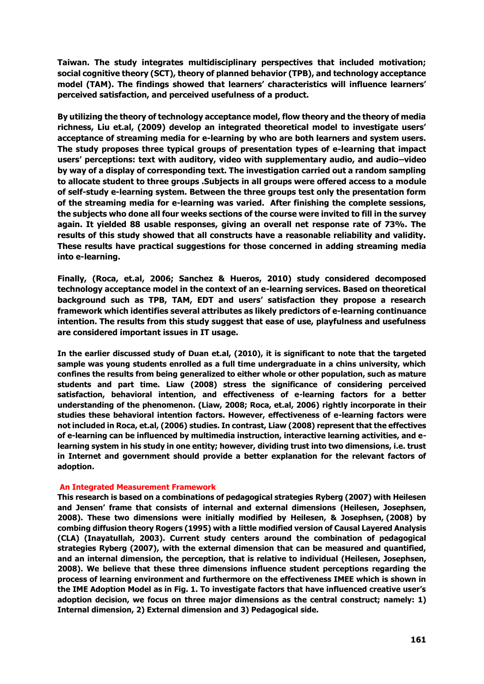**Taiwan. The study integrates multidisciplinary perspectives that included motivation; social cognitive theory (SCT), theory of planned behavior (TPB), and technology acceptance model (TAM). The findings showed that learners' characteristics will influence learners' perceived satisfaction, and perceived usefulness of a product.** 

**By utilizing the theory of technology acceptance model, flow theory and the theory of media richness, Liu et.al, (2009) develop an integrated theoretical model to investigate users' acceptance of streaming media for e-learning by who are both learners and system users. The study proposes three typical groups of presentation types of e-learning that impact users' perceptions: text with auditory, video with supplementary audio, and audio–video by way of a display of corresponding text. The investigation carried out a random sampling to allocate student to three groups .Subjects in all groups were offered access to a module of self-study e-learning system. Between the three groups test only the presentation form of the streaming media for e-learning was varied. After finishing the complete sessions, the subjects who done all four weeks sections of the course were invited to fill in the survey again. It yielded 88 usable responses, giving an overall net response rate of 73%. The results of this study showed that all constructs have a reasonable reliability and validity. These results have practical suggestions for those concerned in adding streaming media into e-learning.**

**Finally, (Roca, et.al, 2006; Sanchez & Hueros, 2010) study considered decomposed technology acceptance model in the context of an e-learning services. Based on theoretical background such as TPB, TAM, EDT and users' satisfaction they propose a research framework which identifies several attributes as likely predictors of e-learning continuance intention. The results from this study suggest that ease of use, playfulness and usefulness are considered important issues in IT usage.** 

**In the earlier discussed study of Duan et.al, (2010), it is significant to note that the targeted sample was young students enrolled as a full time undergraduate in a chins university, which confines the results from being generalized to either whole or other population, such as mature students and part time. Liaw (2008) stress the significance of considering perceived satisfaction, behavioral intention, and effectiveness of e-learning factors for a better understanding of the phenomenon. (Liaw, 2008; Roca, et.al, 2006) rightly incorporate in their studies these behavioral intention factors. However, effectiveness of e-learning factors were not included in Roca, et.al, (2006) studies. In contrast, Liaw (2008) represent that the effectives of e-learning can be influenced by multimedia instruction, interactive learning activities, and elearning system in his study in one entity; however, dividing trust into two dimensions, i.e. trust in Internet and government should provide a better explanation for the relevant factors of adoption.**

## **An Integrated Measurement Framework**

**This research is based on a combinations of pedagogical strategies Ryberg (2007) with Heilesen and Jensen' frame that consists of internal and external dimensions (Heilesen, Josephsen, 2008). These two dimensions were initially modified by Heilesen, & Josephsen, (2008) by combing diffusion theory Rogers (1995) with a little modified version of Causal Layered Analysis (CLA) (Inayatullah, 2003). Current study centers around the combination of pedagogical strategies Ryberg (2007), with the external dimension that can be measured and quantified, and an internal dimension, the perception, that is relative to individual (Heilesen, Josephsen, 2008). We believe that these three dimensions influence student perceptions regarding the process of learning environment and furthermore on the effectiveness IMEE which is shown in the IME Adoption Model as in Fig. 1. To investigate factors that have influenced creative user's adoption decision, we focus on three major dimensions as the central construct; namely: 1) Internal dimension, 2) External dimension and 3) Pedagogical side.**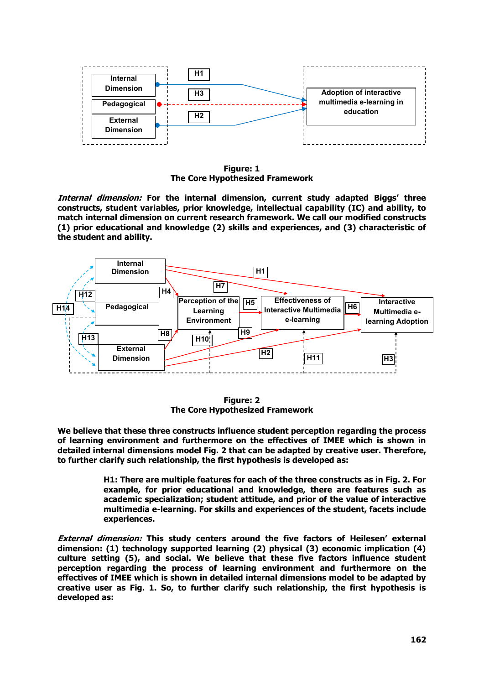

**Figure: 1 The Core Hypothesized Framework**

**Internal dimension: For the internal dimension, current study adapted Biggs' three constructs, student variables, prior knowledge, intellectual capability (IC) and ability, to match internal dimension on current research framework. We call our modified constructs (1) prior educational and knowledge (2) skills and experiences, and (3) characteristic of the student and ability.** 



**Figure: 2 The Core Hypothesized Framework**

**We believe that these three constructs influence student perception regarding the process of learning environment and furthermore on the effectives of IMEE which is shown in detailed internal dimensions model Fig. 2 that can be adapted by creative user. Therefore, to further clarify such relationship, the first hypothesis is developed as:** 

> **H1: There are multiple features for each of the three constructs as in Fig. 2. For example, for prior educational and knowledge, there are features such as academic specialization; student attitude, and prior of the value of interactive multimedia e-learning. For skills and experiences of the student, facets include experiences.**

**External dimension: This study centers around the five factors of Heilesen' external dimension: (1) technology supported learning (2) physical (3) economic implication (4) culture setting (5), and social. We believe that these five factors influence student perception regarding the process of learning environment and furthermore on the effectives of IMEE which is shown in detailed internal dimensions model to be adapted by creative user as Fig. 1. So, to further clarify such relationship, the first hypothesis is developed as:**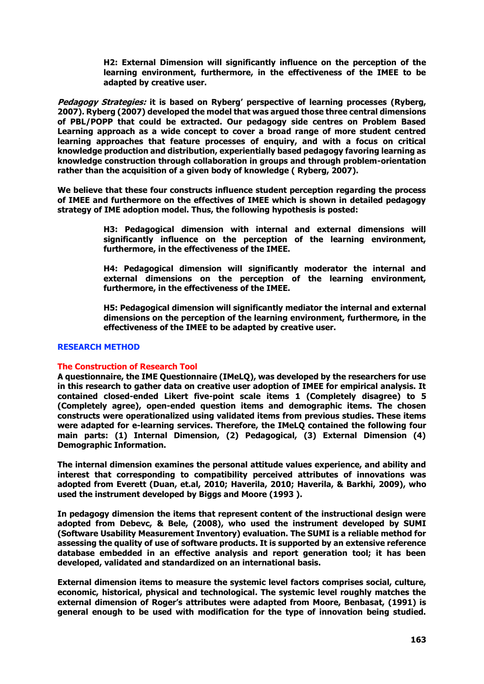**H2: External Dimension will significantly influence on the perception of the learning environment, furthermore, in the effectiveness of the IMEE to be adapted by creative user.** 

**Pedagogy Strategies: it is based on Ryberg' perspective of learning processes (Ryberg, 2007). Ryberg (2007) developed the model that was argued those three central dimensions of PBL/POPP that could be extracted. Our pedagogy side centres on Problem Based Learning approach as a wide concept to cover a broad range of more student centred learning approaches that feature processes of enquiry, and with a focus on critical knowledge production and distribution, experientially based pedagogy favoring learning as knowledge construction through collaboration in groups and through problem-orientation rather than the acquisition of a given body of knowledge ( Ryberg, 2007).** 

**We believe that these four constructs influence student perception regarding the process of IMEE and furthermore on the effectives of IMEE which is shown in detailed pedagogy strategy of IME adoption model. Thus, the following hypothesis is posted:** 

> **H3: Pedagogical dimension with internal and external dimensions will significantly influence on the perception of the learning environment, furthermore, in the effectiveness of the IMEE.**

> **H4: Pedagogical dimension will significantly moderator the internal and external dimensions on the perception of the learning environment, furthermore, in the effectiveness of the IMEE.**

> **H5: Pedagogical dimension will significantly mediator the internal and external dimensions on the perception of the learning environment, furthermore, in the effectiveness of the IMEE to be adapted by creative user.**

#### **RESEARCH METHOD**

#### **The Construction of Research Tool**

**A questionnaire, the IME Questionnaire (IMeLQ), was developed by the researchers for use in this research to gather data on creative user adoption of IMEE for empirical analysis. It contained closed-ended Likert five-point scale items 1 (Completely disagree) to 5 (Completely agree), open-ended question items and demographic items. The chosen constructs were operationalized using validated items from previous studies. These items were adapted for e-learning services. Therefore, the IMeLQ contained the following four main parts: (1) Internal Dimension, (2) Pedagogical, (3) External Dimension (4) Demographic Information.**

**The internal dimension examines the personal attitude values experience, and ability and interest that corresponding to compatibility perceived attributes of innovations was adopted from Everett (Duan, et.al, 2010; Haverila, 2010; Haverila, & Barkhi, 2009), who used the instrument developed by Biggs and Moore (1993 ).** 

**In pedagogy dimension the items that represent content of the instructional design were adopted from Debevc, & Bele, (2008), who used the instrument developed by SUMI (Software Usability Measurement Inventory) evaluation. The SUMI is a reliable method for assessing the quality of use of software products. It is supported by an extensive reference database embedded in an effective analysis and report generation tool; it has been developed, validated and standardized on an international basis.**

**External dimension items to measure the systemic level factors comprises social, culture, economic, historical, physical and technological. The systemic level roughly matches the external dimension of Roger's attributes were adapted from Moore, Benbasat, (1991) is general enough to be used with modification for the type of innovation being studied.**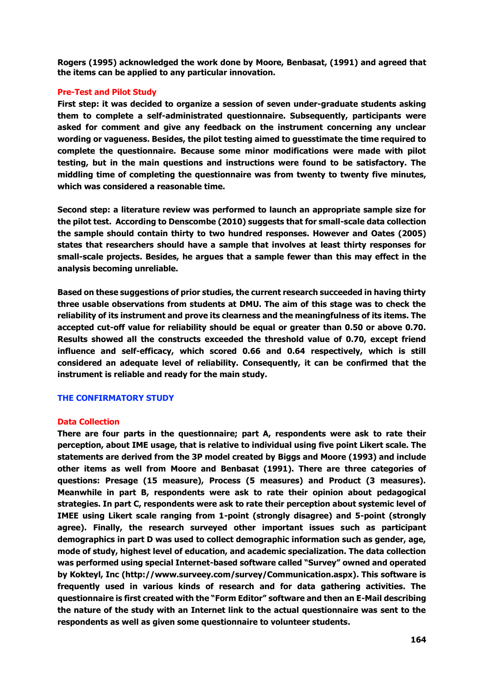**Rogers (1995) acknowledged the work done by Moore, Benbasat, (1991) and agreed that the items can be applied to any particular innovation.**

## **Pre-Test and Pilot Study**

**First step: it was decided to organize a session of seven under-graduate students asking them to complete a self-administrated questionnaire. Subsequently, participants were asked for comment and give any feedback on the instrument concerning any unclear wording or vagueness. Besides, the pilot testing aimed to guesstimate the time required to complete the questionnaire. Because some minor modifications were made with pilot testing, but in the main questions and instructions were found to be satisfactory. The middling time of completing the questionnaire was from twenty to twenty five minutes, which was considered a reasonable time.**

**Second step: a literature review was performed to launch an appropriate sample size for the pilot test. According to Denscombe (2010) suggests that for small-scale data collection the sample should contain thirty to two hundred responses. However and Oates (2005) states that researchers should have a sample that involves at least thirty responses for small-scale projects. Besides, he argues that a sample fewer than this may effect in the analysis becoming unreliable.**

**Based on these suggestions of prior studies, the current research succeeded in having thirty three usable observations from students at DMU. The aim of this stage was to check the reliability of its instrument and prove its clearness and the meaningfulness of its items. The accepted cut-off value for reliability should be equal or greater than 0.50 or above 0.70. Results showed all the constructs exceeded the threshold value of 0.70, except friend influence and self-efficacy, which scored 0.66 and 0.64 respectively, which is still considered an adequate level of reliability. Consequently, it can be confirmed that the instrument is reliable and ready for the main study.**

## **THE CONFIRMATORY STUDY**

## **Data Collection**

**There are four parts in the questionnaire; part A, respondents were ask to rate their perception, about IME usage, that is relative to individual using five point Likert scale. The statements are derived from the 3P model created by Biggs and Moore (1993) and include other items as well from Moore and Benbasat (1991). There are three categories of questions: Presage (15 measure), Process (5 measures) and Product (3 measures). Meanwhile in part B, respondents were ask to rate their opinion about pedagogical strategies. In part C, respondents were ask to rate their perception about systemic level of IMEE using Likert scale ranging from 1-point (strongly disagree) and 5-point (strongly agree). Finally, the research surveyed other important issues such as participant demographics in part D was used to collect demographic information such as gender, age, mode of study, highest level of education, and academic specialization. The data collection was performed using special Internet-based software called "Survey" owned and operated by Kokteyl, Inc (http://www.surveey.com/survey/Communication.aspx). This software is frequently used in various kinds of research and for data gathering activities. The questionnaire is first created with the "Form Editor" software and then an E-Mail describing the nature of the study with an Internet link to the actual questionnaire was sent to the respondents as well as given some questionnaire to volunteer students.**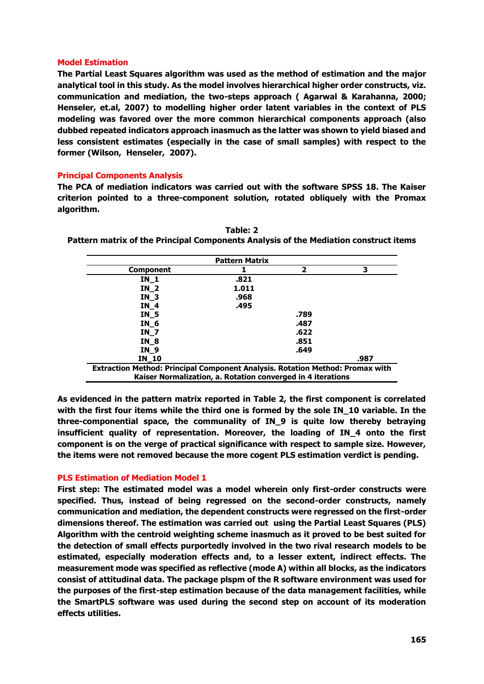## **Model Estimation**

**The Partial Least Squares algorithm was used as the method of estimation and the major analytical tool in this study. As the model involves hierarchical higher order constructs, viz. communication and mediation, the two-steps approach ( Agarwal & Karahanna, 2000; Henseler, et.al, 2007) to modelling higher order latent variables in the context of PLS modeling was favored over the more common hierarchical components approach (also dubbed repeated indicators approach inasmuch as the latter was shown to yield biased and less consistent estimates (especially in the case of small samples) with respect to the former (Wilson, Henseler, 2007).**

## **Principal Components Analysis**

**The PCA of mediation indicators was carried out with the software SPSS 18. The Kaiser criterion pointed to a three-component solution, rotated obliquely with the Promax algorithm.** 

| <b>Pattern Matrix</b>                                                                |       |                |   |  |  |  |  |
|--------------------------------------------------------------------------------------|-------|----------------|---|--|--|--|--|
| <b>Component</b>                                                                     |       | $\overline{2}$ | 3 |  |  |  |  |
| IN 1                                                                                 | .821  |                |   |  |  |  |  |
| IN 2                                                                                 | 1.011 |                |   |  |  |  |  |
| IN 3                                                                                 | .968  |                |   |  |  |  |  |
| IN 4                                                                                 | .495  |                |   |  |  |  |  |
| IN_5                                                                                 |       | .789           |   |  |  |  |  |
| IN 6                                                                                 |       | .487           |   |  |  |  |  |
| <b>IN 7</b>                                                                          |       | .622           |   |  |  |  |  |
| IN 8                                                                                 |       | .851           |   |  |  |  |  |
| IN 9                                                                                 |       | .649           |   |  |  |  |  |
| .987<br>IN 10                                                                        |       |                |   |  |  |  |  |
| <b>Extraction Method: Principal Component Analysis. Rotation Method: Promax with</b> |       |                |   |  |  |  |  |
| Kaiser Normalization, a. Rotation converged in 4 iterations                          |       |                |   |  |  |  |  |

**Table: 2 Pattern matrix of the Principal Components Analysis of the Mediation construct items**

**As evidenced in the pattern matrix reported in Table 2, the first component is correlated with the first four items while the third one is formed by the sole IN\_10 variable. In the three-componential space, the communality of IN\_9 is quite low thereby betraying insufficient quality of representation. Moreover, the loading of IN\_4 onto the first component is on the verge of practical significance with respect to sample size. However, the items were not removed because the more cogent PLS estimation verdict is pending.**

## **PLS Estimation of Mediation Model 1**

**First step: The estimated model was a model wherein only first-order constructs were specified. Thus, instead of being regressed on the second-order constructs, namely communication and mediation, the dependent constructs were regressed on the first-order dimensions thereof. The estimation was carried out using the Partial Least Squares (PLS) Algorithm with the centroid weighting scheme inasmuch as it proved to be best suited for the detection of small effects purportedly involved in the two rival research models to be estimated, especially moderation effects and, to a lesser extent, indirect effects. The measurement mode was specified as reflective (mode A) within all blocks, as the indicators consist of attitudinal data. The package plspm of the R software environment was used for the purposes of the first-step estimation because of the data management facilities, while the SmartPLS software was used during the second step on account of its moderation effects utilities.**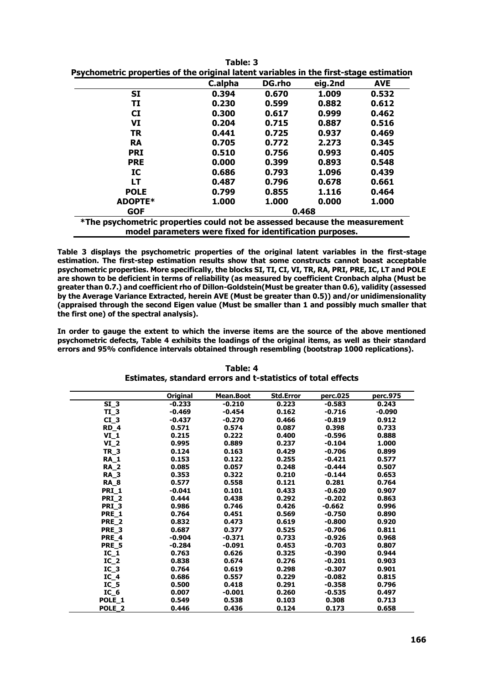| rsychomed ic properties or the original latent variables in the mist-stage estimation |         |        |         |            |  |  |  |
|---------------------------------------------------------------------------------------|---------|--------|---------|------------|--|--|--|
|                                                                                       | C.alpha | DG.rho | eig.2nd | <b>AVE</b> |  |  |  |
| <b>SI</b>                                                                             | 0.394   | 0.670  | 1.009   | 0.532      |  |  |  |
| TI                                                                                    | 0.230   | 0.599  | 0.882   | 0.612      |  |  |  |
| $\mathbf{C}\mathbf{I}$                                                                | 0.300   | 0.617  | 0.999   | 0.462      |  |  |  |
| VI                                                                                    | 0.204   | 0.715  | 0.887   | 0.516      |  |  |  |
| <b>TR</b>                                                                             | 0.441   | 0.725  | 0.937   | 0.469      |  |  |  |
| <b>RA</b>                                                                             | 0.705   | 0.772  | 2.273   | 0.345      |  |  |  |
| <b>PRI</b>                                                                            | 0.510   | 0.756  | 0.993   | 0.405      |  |  |  |
| <b>PRE</b>                                                                            | 0.000   | 0.399  | 0.893   | 0.548      |  |  |  |
| IC                                                                                    | 0.686   | 0.793  | 1.096   | 0.439      |  |  |  |
| LT                                                                                    | 0.487   | 0.796  | 0.678   | 0.661      |  |  |  |
| <b>POLE</b>                                                                           | 0.799   | 0.855  | 1.116   | 0.464      |  |  |  |
| ADOPTE*                                                                               | 1.000   | 1.000  | 0.000   | 1.000      |  |  |  |
| <b>GOF</b>                                                                            | 0.468   |        |         |            |  |  |  |
| *The psychometric properties could not be assessed because the measurement            |         |        |         |            |  |  |  |

| Table: 3                                                                               |
|----------------------------------------------------------------------------------------|
| Psychometric properties of the original latent variables in the first-stage estimation |

**model parameters were fixed for identification purposes.**

**Table 3 displays the psychometric properties of the original latent variables in the first-stage estimation. The first-step estimation results show that some constructs cannot boast acceptable psychometric properties. More specifically, the blocks SI, TI, CI, VI, TR, RA, PRI, PRE, IC, LT and POLE are shown to be deficient in terms of reliability (as measured by coefficient Cronbach alpha (Must be greater than 0.7.) and coefficient rho of Dillon-Goldstein(Must be greater than 0.6), validity (assessed by the Average Variance Extracted, herein AVE (Must be greater than 0.5)) and/or unidimensionality (appraised through the second Eigen value (Must be smaller than 1 and possibly much smaller that the first one) of the spectral analysis).**

**In order to gauge the extent to which the inverse items are the source of the above mentioned psychometric defects, Table 4 exhibits the loadings of the original items, as well as their standard errors and 95% confidence intervals obtained through resembling (bootstrap 1000 replications).**

|                   | <b>Original</b> | Mean.Boot | <b>Std.Error</b> | perc.025 | perc.975 |
|-------------------|-----------------|-----------|------------------|----------|----------|
| $SI_3$            | $-0.233$        | $-0.210$  | 0.223            | $-0.583$ | 0.243    |
| $TI_3$            | $-0.469$        | $-0.454$  | 0.162            | $-0.716$ | $-0.090$ |
| $CI_3$            | $-0.437$        | $-0.270$  | 0.466            | $-0.819$ | 0.912    |
| RD <sub>4</sub>   | 0.571           | 0.574     | 0.087            | 0.398    | 0.733    |
| $VI_1$            | 0.215           | 0.222     | 0.400            | $-0.596$ | 0.888    |
| $VI_2$            | 0.995           | 0.889     | 0.237            | $-0.104$ | 1.000    |
| <b>TR_3</b>       | 0.124           | 0.163     | 0.429            | $-0.706$ | 0.899    |
| <b>RA 1</b>       | 0.153           | 0.122     | 0.255            | $-0.421$ | 0.577    |
| <b>RA 2</b>       | 0.085           | 0.057     | 0.248            | $-0.444$ | 0.507    |
| <b>RA_3</b>       | 0.353           | 0.322     | 0.210            | $-0.144$ | 0.653    |
| <b>RA</b> 8       | 0.577           | 0.558     | 0.121            | 0.281    | 0.764    |
| <b>PRI 1</b>      | $-0.041$        | 0.101     | 0.433            | $-0.620$ | 0.907    |
| PRI <sub>2</sub>  | 0.444           | 0.438     | 0.292            | $-0.202$ | 0.863    |
| PRI <sub>3</sub>  | 0.986           | 0.746     | 0.426            | $-0.662$ | 0.996    |
| PRE 1             | 0.764           | 0.451     | 0.569            | $-0.750$ | 0.890    |
| PRE <sub>2</sub>  | 0.832           | 0.473     | 0.619            | $-0.800$ | 0.920    |
| PRE <sub>3</sub>  | 0.687           | 0.377     | 0.525            | $-0.706$ | 0.811    |
| PRE <sub>4</sub>  | $-0.904$        | $-0.371$  | 0.733            | $-0.926$ | 0.968    |
| PRE <sub>5</sub>  | $-0.284$        | $-0.091$  | 0.453            | $-0.703$ | 0.807    |
| $IC_1$            | 0.763           | 0.626     | 0.325            | $-0.390$ | 0.944    |
| IC <sub>2</sub>   | 0.838           | 0.674     | 0.276            | $-0.201$ | 0.903    |
| IC <sub>3</sub>   | 0.764           | 0.619     | 0.298            | $-0.307$ | 0.901    |
| $IC_4$            | 0.686           | 0.557     | 0.229            | $-0.082$ | 0.815    |
| $IC_5$            | 0.500           | 0.418     | 0.291            | $-0.358$ | 0.796    |
| $IC_6$            | 0.007           | $-0.001$  | 0.260            | $-0.535$ | 0.497    |
| POLE 1            | 0.549           | 0.538     | 0.103            | 0.308    | 0.713    |
| POLE <sub>2</sub> | 0.446           | 0.436     | 0.124            | 0.173    | 0.658    |

## **Table: 4 Estimates, standard errors and t-statistics of total effects**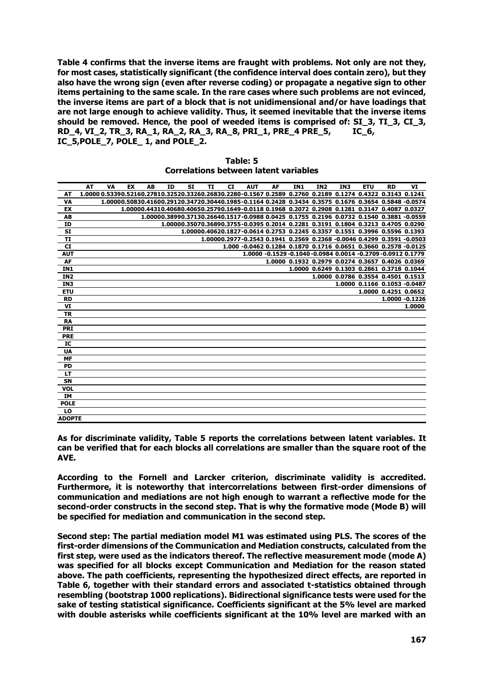**Table 4 confirms that the inverse items are fraught with problems. Not only are not they, for most cases, statistically significant (the confidence interval does contain zero), but they also have the wrong sign (even after reverse coding) or propagate a negative sign to other items pertaining to the same scale. In the rare cases where such problems are not evinced, the inverse items are part of a block that is not unidimensional and/or have loadings that are not large enough to achieve validity. Thus, it seemed inevitable that the inverse items should be removed. Hence, the pool of weeded items is comprised of: SI\_3, TI\_3, CI\_3, RD\_4, VI\_2, TR\_3, RA\_1, RA\_2, RA\_3, RA\_8, PRI\_1, PRE\_4 PRE\_5, IC\_6, IC\_5,POLE\_7, POLE\_ 1, and POLE\_2.**

|                 | AT | VA                                                                                                        | EX | AB | ID | SI | TI | <b>CI</b> | <b>AUT</b> | AF | IN <sub>1</sub> | IN <sub>2</sub> | IN3 | <b>ETU</b>                                                                                          | <b>RD</b>            | VI             |
|-----------------|----|-----------------------------------------------------------------------------------------------------------|----|----|----|----|----|-----------|------------|----|-----------------|-----------------|-----|-----------------------------------------------------------------------------------------------------|----------------------|----------------|
| AT              |    | 1.0000 0.53390.52160.27810.32520.33260.26830.2280-0.1567 0.2589 0.2760 0.2189 0.1274 0.4322 0.3143 0.1241 |    |    |    |    |    |           |            |    |                 |                 |     |                                                                                                     |                      |                |
| <b>VA</b>       |    |                                                                                                           |    |    |    |    |    |           |            |    |                 |                 |     | 1.00000.50830.41600.29120.34720.30440.1985-0.1164 0.2428 0.3434 0.3575 0.1676 0.3654 0.5848 -0.0574 |                      |                |
| EX              |    |                                                                                                           |    |    |    |    |    |           |            |    |                 |                 |     | 1.00000.44310.40680.40650.25790.1649-0.0118 0.1968 0.2072 0.2908 0.1281 0.3147 0.4087 0.0327        |                      |                |
| AB              |    |                                                                                                           |    |    |    |    |    |           |            |    |                 |                 |     | 1.00000.38990.37130.26640.1517-0.0988 0.0425 0.1755 0.2196 0.0732 0.1540 0.3881 -0.0559             |                      |                |
| ID              |    |                                                                                                           |    |    |    |    |    |           |            |    |                 |                 |     | 1,00000.35070.36890.3755-0.0395 0.2014 0.2281 0.3191 0.1804 0.3213 0.4705 0.0290                    |                      |                |
| <b>SI</b>       |    |                                                                                                           |    |    |    |    |    |           |            |    |                 |                 |     | 1.00000.40620.1827-0.0614 0.2753 0.2245 0.3357 0.1551 0.3996 0.5596 0.1393                          |                      |                |
| <b>TI</b>       |    |                                                                                                           |    |    |    |    |    |           |            |    |                 |                 |     | 1.00000.2977-0.2543 0.1941 0.2569 0.2368 -0.0046 0.4299 0.3591 -0.0503                              |                      |                |
| <b>CI</b>       |    |                                                                                                           |    |    |    |    |    |           |            |    |                 |                 |     | 1.000 -0.0462 0.1284 0.1870 0.1716 0.0651 0.3660 0.2578 -0.0125                                     |                      |                |
| <b>AUT</b>      |    |                                                                                                           |    |    |    |    |    |           |            |    |                 |                 |     | 1.0000 -0.1529 -0.1040 -0.0984 0.0014 -0.2709 -0.0912 0.1779                                        |                      |                |
| AF              |    |                                                                                                           |    |    |    |    |    |           |            |    |                 |                 |     | 1.0000 0.1932 0.2979 0.0274 0.3657 0.4026 0.0369                                                    |                      |                |
| IN1             |    |                                                                                                           |    |    |    |    |    |           |            |    |                 |                 |     | 1.0000 0.6249 0.1303 0.2861 0.3718 0.1044                                                           |                      |                |
| IN <sub>2</sub> |    |                                                                                                           |    |    |    |    |    |           |            |    |                 |                 |     | 1,0000 0.0786 0.3554 0.4501 0.1513                                                                  |                      |                |
| IN3             |    |                                                                                                           |    |    |    |    |    |           |            |    |                 |                 |     | 1.0000 0.1166 0.1053 -0.0487                                                                        |                      |                |
| <b>ETU</b>      |    |                                                                                                           |    |    |    |    |    |           |            |    |                 |                 |     |                                                                                                     | 1.0000 0.4251 0.0652 |                |
| <b>RD</b>       |    |                                                                                                           |    |    |    |    |    |           |            |    |                 |                 |     |                                                                                                     |                      | 1.0000 -0.1226 |
| VI              |    |                                                                                                           |    |    |    |    |    |           |            |    |                 |                 |     |                                                                                                     |                      | 1.0000         |
| <b>TR</b>       |    |                                                                                                           |    |    |    |    |    |           |            |    |                 |                 |     |                                                                                                     |                      |                |
| <b>RA</b>       |    |                                                                                                           |    |    |    |    |    |           |            |    |                 |                 |     |                                                                                                     |                      |                |
| <b>PRI</b>      |    |                                                                                                           |    |    |    |    |    |           |            |    |                 |                 |     |                                                                                                     |                      |                |
| <b>PRE</b>      |    |                                                                                                           |    |    |    |    |    |           |            |    |                 |                 |     |                                                                                                     |                      |                |
| IC              |    |                                                                                                           |    |    |    |    |    |           |            |    |                 |                 |     |                                                                                                     |                      |                |
| <b>UA</b>       |    |                                                                                                           |    |    |    |    |    |           |            |    |                 |                 |     |                                                                                                     |                      |                |
| <b>MF</b>       |    |                                                                                                           |    |    |    |    |    |           |            |    |                 |                 |     |                                                                                                     |                      |                |
| <b>PD</b>       |    |                                                                                                           |    |    |    |    |    |           |            |    |                 |                 |     |                                                                                                     |                      |                |
| <b>LT</b>       |    |                                                                                                           |    |    |    |    |    |           |            |    |                 |                 |     |                                                                                                     |                      |                |
| SN              |    |                                                                                                           |    |    |    |    |    |           |            |    |                 |                 |     |                                                                                                     |                      |                |
| <b>VOL</b>      |    |                                                                                                           |    |    |    |    |    |           |            |    |                 |                 |     |                                                                                                     |                      |                |
| <b>IM</b>       |    |                                                                                                           |    |    |    |    |    |           |            |    |                 |                 |     |                                                                                                     |                      |                |
| <b>POLE</b>     |    |                                                                                                           |    |    |    |    |    |           |            |    |                 |                 |     |                                                                                                     |                      |                |
| LO              |    |                                                                                                           |    |    |    |    |    |           |            |    |                 |                 |     |                                                                                                     |                      |                |
| <b>ADOPTE</b>   |    |                                                                                                           |    |    |    |    |    |           |            |    |                 |                 |     |                                                                                                     |                      |                |

| Table: 5                                     |  |  |  |  |  |  |  |
|----------------------------------------------|--|--|--|--|--|--|--|
| <b>Correlations between latent variables</b> |  |  |  |  |  |  |  |

**As for discriminate validity, Table 5 reports the correlations between latent variables. It can be verified that for each blocks all correlations are smaller than the square root of the AVE.** 

**According to the Fornell and Larcker criterion, discriminate validity is accredited. Furthermore, it is noteworthy that intercorrelations between first-order dimensions of communication and mediations are not high enough to warrant a reflective mode for the second-order constructs in the second step. That is why the formative mode (Mode B) will be specified for mediation and communication in the second step.**

**Second step: The partial mediation model M1 was estimated using PLS. The scores of the first-order dimensions of the Communication and Mediation constructs, calculated from the first step, were used as the indicators thereof. The reflective measurement mode (mode A) was specified for all blocks except Communication and Mediation for the reason stated above. The path coefficients, representing the hypothesized direct effects, are reported in Table 6, together with their standard errors and associated t-statistics obtained through resembling (bootstrap 1000 replications). Bidirectional significance tests were used for the sake of testing statistical significance. Coefficients significant at the 5% level are marked with double asterisks while coefficients significant at the 10% level are marked with an**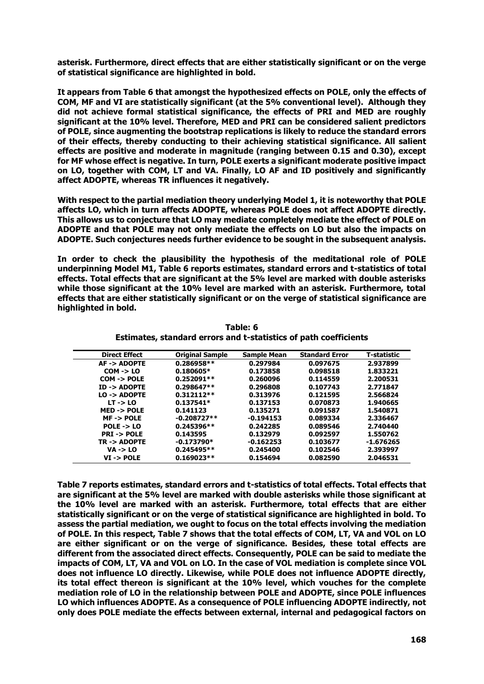**asterisk. Furthermore, direct effects that are either statistically significant or on the verge of statistical significance are highlighted in bold.**

**It appears from Table 6 that amongst the hypothesized effects on POLE, only the effects of COM, MF and VI are statistically significant (at the 5% conventional level). Although they did not achieve formal statistical significance, the effects of PRI and MED are roughly significant at the 10% level. Therefore, MED and PRI can be considered salient predictors of POLE, since augmenting the bootstrap replications is likely to reduce the standard errors of their effects, thereby conducting to their achieving statistical significance. All salient effects are positive and moderate in magnitude (ranging between 0.15 and 0.30), except for MF whose effect is negative. In turn, POLE exerts a significant moderate positive impact on LO, together with COM, LT and VA. Finally, LO AF and ID positively and significantly affect ADOPTE, whereas TR influences it negatively.** 

**With respect to the partial mediation theory underlying Model 1, it is noteworthy that POLE affects LO, which in turn affects ADOPTE, whereas POLE does not affect ADOPTE directly. This allows us to conjecture that LO may mediate completely mediate the effect of POLE on ADOPTE and that POLE may not only mediate the effects on LO but also the impacts on ADOPTE. Such conjectures needs further evidence to be sought in the subsequent analysis.**

**In order to check the plausibility the hypothesis of the meditational role of POLE underpinning Model M1, Table 6 reports estimates, standard errors and t-statistics of total effects. Total effects that are significant at the 5% level are marked with double asterisks while those significant at the 10% level are marked with an asterisk. Furthermore, total effects that are either statistically significant or on the verge of statistical significance are highlighted in bold.** 

| <b>Direct Effect</b>    | <b>Original Sample</b> | <b>Sample Mean</b> | <b>Standard Error</b> | T-statistic |
|-------------------------|------------------------|--------------------|-----------------------|-------------|
| AF-> ADOPTE             | $0.286958**$           | 0.297984           | 0.097675              | 2.937899    |
| $COM - > LO$            | $0.180605*$            | 0.173858           | 0.098518              | 1.833221    |
| $COM \rightarrow POLE$  | $0.252091**$           | 0.260096           | 0.114559              | 2.200531    |
| $ID \rightarrow ADOPTE$ | $0.298647**$           | 0.296808           | 0.107743              | 2.771847    |
| $LO -> ADOPTE$          | $0.312112**$           | 0.313976           | 0.121595              | 2.566824    |
| $LT - > LO$             | $0.137541*$            | 0.137153           | 0.070873              | 1.940665    |
| $MED \rightarrow POLE$  | 0.141123               | 0.135271           | 0.091587              | 1.540871    |
| $MF \rightarrow POLE$   | $-0.208727**$          | $-0.194153$        | 0.089334              | 2.336467    |
| $POLE - > LO$           | $0.245396**$           | 0.242285           | 0.089546              | 2.740440    |
| <b>PRI-&gt;POLE</b>     | 0.143595               | 0.132979           | 0.092597              | 1.550762    |
| TR -> ADOPTE            | $-0.173790*$           | $-0.162253$        | 0.103677              | -1.676265   |
| $VA \rightarrow LO$     | $0.245495**$           | 0.245400           | 0.102546              | 2.393997    |
| $VI \rightarrow POLE$   | $0.169023**$           | 0.154694           | 0.082590              | 2.046531    |

**Table: 6 Estimates, standard errors and t-statistics of path coefficients**

**Table 7 reports estimates, standard errors and t-statistics of total effects. Total effects that are significant at the 5% level are marked with double asterisks while those significant at the 10% level are marked with an asterisk. Furthermore, total effects that are either statistically significant or on the verge of statistical significance are highlighted in bold. To assess the partial mediation, we ought to focus on the total effects involving the mediation of POLE. In this respect, Table 7 shows that the total effects of COM, LT, VA and VOL on LO are either significant or on the verge of significance. Besides, these total effects are different from the associated direct effects. Consequently, POLE can be said to mediate the impacts of COM, LT, VA and VOL on LO. In the case of VOL mediation is complete since VOL does not influence LO directly. Likewise, while POLE does not influence ADOPTE directly, its total effect thereon is significant at the 10% level, which vouches for the complete mediation role of LO in the relationship between POLE and ADOPTE, since POLE influences LO which influences ADOPTE. As a consequence of POLE influencing ADOPTE indirectly, not only does POLE mediate the effects between external, internal and pedagogical factors on**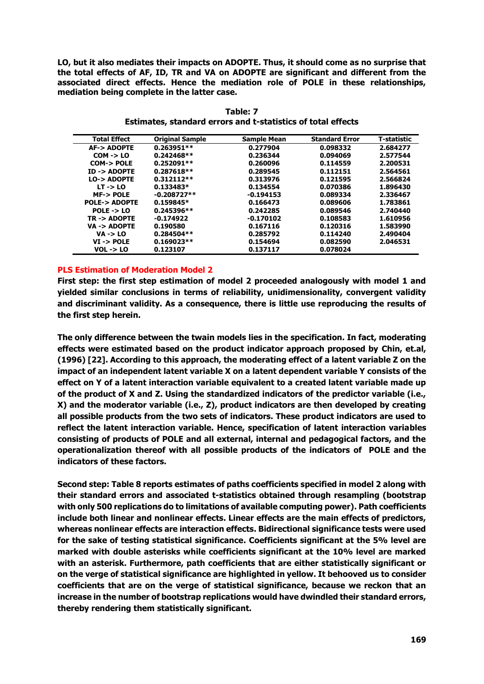**LO, but it also mediates their impacts on ADOPTE. Thus, it should come as no surprise that the total effects of AF, ID, TR and VA on ADOPTE are significant and different from the associated direct effects. Hence the mediation role of POLE in these relationships, mediation being complete in the latter case.**

| <b>Total Effect</b>     | <b>Original Sample</b> | <b>Sample Mean</b> | <b>Standard Error</b> | T-statistic |
|-------------------------|------------------------|--------------------|-----------------------|-------------|
| <b>AF-&gt; ADOPTE</b>   | $0.263951**$           | 0.277904           | 0.098332              | 2.684277    |
| $COM - > LO$            | $0.242468**$           | 0.236344           | 0.094069              | 2.577544    |
| COM-> POLE              | $0.252091**$           | 0.260096           | 0.114559              | 2.200531    |
| $ID \rightarrow ADOPTE$ | $0.287618**$           | 0.289545           | 0.112151              | 2.564561    |
| LO-> ADOPTE             | $0.312112**$           | 0.313976           | 0.121595              | 2.566824    |
| $LT - > LO$             | $0.133483*$            | 0.134554           | 0.070386              | 1.896430    |
| <b>MF-&gt;POLE</b>      | $-0.208727**$          | $-0.194153$        | 0.089334              | 2.336467    |
| <b>POLE-&gt; ADOPTE</b> | $0.159845*$            | 0.166473           | 0.089606              | 1.783861    |
| $POLE \rightarrow LO$   | $0.245396**$           | 0.242285           | 0.089546              | 2.740440    |
| TR -> ADOPTE            | $-0.174922$            | $-0.170102$        | 0.108583              | 1.610956    |
| $VA -> ADOPTE$          | 0.190580               | 0.167116           | 0.120316              | 1.583990    |
| $VA \rightarrow LO$     | $0.284504**$           | 0.285792           | 0.114240              | 2.490404    |
| $VI \rightarrow POLE$   | $0.169023**$           | 0.154694           | 0.082590              | 2.046531    |
| $VOL \rightarrow LO$    | 0.123107               | 0.137117           | 0.078024              |             |

**Table: 7 Estimates, standard errors and t-statistics of total effects**

# **PLS Estimation of Moderation Model 2**

**First step: the first step estimation of model 2 proceeded analogously with model 1 and yielded similar conclusions in terms of reliability, unidimensionality, convergent validity and discriminant validity. As a consequence, there is little use reproducing the results of the first step herein.**

**The only difference between the twain models lies in the specification. In fact, moderating effects were estimated based on the product indicator approach proposed by Chin, et.al, (1996) [22]. According to this approach, the moderating effect of a latent variable Z on the impact of an independent latent variable X on a latent dependent variable Y consists of the effect on Y of a latent interaction variable equivalent to a created latent variable made up of the product of X and Z. Using the standardized indicators of the predictor variable (i.e., X) and the moderator variable (i.e., Z), product indicators are then developed by creating all possible products from the two sets of indicators. These product indicators are used to reflect the latent interaction variable. Hence, specification of latent interaction variables consisting of products of POLE and all external, internal and pedagogical factors, and the operationalization thereof with all possible products of the indicators of POLE and the indicators of these factors.**

**Second step: Table 8 reports estimates of paths coefficients specified in model 2 along with their standard errors and associated t-statistics obtained through resampling (bootstrap with only 500 replications do to limitations of available computing power). Path coefficients include both linear and nonlinear effects. Linear effects are the main effects of predictors, whereas nonlinear effects are interaction effects. Bidirectional significance tests were used for the sake of testing statistical significance. Coefficients significant at the 5% level are marked with double asterisks while coefficients significant at the 10% level are marked with an asterisk. Furthermore, path coefficients that are either statistically significant or on the verge of statistical significance are highlighted in yellow. It behooved us to consider coefficients that are on the verge of statistical significance, because we reckon that an increase in the number of bootstrap replications would have dwindled their standard errors, thereby rendering them statistically significant.**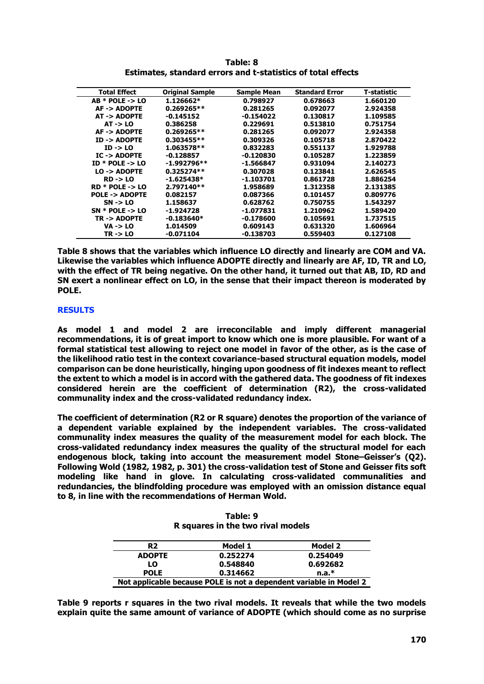| <b>Total Effect</b>     | <b>Original Sample</b> | <b>Sample Mean</b> | <b>Standard Error</b> | T-statistic |
|-------------------------|------------------------|--------------------|-----------------------|-------------|
| $AB * POLE - > LO$      | $1.126662*$            | 0.798927           | 0.678663              | 1.660120    |
| AF-> ADOPTE             | $0.269265**$           | 0.281265           | 0.092077              | 2.924358    |
| AT -> ADOPTE            | $-0.145152$            | $-0.154022$        | 0.130817              | 1.109585    |
| $AT \rightarrow LO$     | 0.386258               | 0.229691           | 0.513810              | 0.751754    |
| AF-> ADOPTE             | $0.269265**$           | 0.281265           | 0.092077              | 2.924358    |
| ID-> ADOPTE             | $0.303455**$           | 0.309326           | 0.105718              | 2.870422    |
| $ID \rightarrow LO$     | $1.063578**$           | 0.832283           | 0.551137              | 1.929788    |
| $IC \rightarrow ADOPTE$ | $-0.128857$            | $-0.120830$        | 0.105287              | 1.223859    |
| $ID * POLE - > LO$      | $-1.992796**$          | -1.566847          | 0.931094              | 2.140273    |
| $LO \rightarrow ADOPTE$ | $0.325274**$           | 0.307028           | 0.123841              | 2.626545    |
| $RD \rightarrow LO$     | $-1.625438*$           | -1.103701          | 0.861728              | 1.886254    |
| $RD * POLE -> LO$       | 2.797140**             | 1.958689           | 1.312358              | 2.131385    |
| POLE -> ADOPTE          | 0.082157               | 0.087366           | 0.101457              | 0.809776    |
| $SN \rightarrow LO$     | 1.158637               | 0.628762           | 0.750755              | 1.543297    |
| $SN * POLE - > LO$      | -1.924728              | -1.077831          | 1.210962              | 1.589420    |
| TR-> ADOPTE             | $-0.183640*$           | -0.178600          | 0.105691              | 1.737515    |
| <b>VA -&gt; LO</b>      | 1.014509               | 0.609143           | 0.631320              | 1.606964    |
| $TR \rightarrow LO$     | $-0.071104$            | $-0.138703$        | 0.559403              | 0.127108    |

**Table: 8 Estimates, standard errors and t-statistics of total effects**

**Table 8 shows that the variables which influence LO directly and linearly are COM and VA. Likewise the variables which influence ADOPTE directly and linearly are AF, ID, TR and LO, with the effect of TR being negative. On the other hand, it turned out that AB, ID, RD and SN exert a nonlinear effect on LO, in the sense that their impact thereon is moderated by POLE.**

## **RESULTS**

**As model 1 and model 2 are irreconcilable and imply different managerial recommendations, it is of great import to know which one is more plausible. For want of a formal statistical test allowing to reject one model in favor of the other, as is the case of the likelihood ratio test in the context covariance-based structural equation models, model comparison can be done heuristically, hinging upon goodness of fit indexes meant to reflect the extent to which a model is in accord with the gathered data. The goodness of fit indexes considered herein are the coefficient of determination (R2), the cross-validated communality index and the cross-validated redundancy index.**

**The coefficient of determination (R2 or R square) denotes the proportion of the variance of a dependent variable explained by the independent variables. The cross-validated communality index measures the quality of the measurement model for each block. The cross-validated redundancy index measures the quality of the structural model for each endogenous block, taking into account the measurement model Stone–Geisser's (Q2). Following Wold (1982, 1982, p. 301) the cross-validation test of Stone and Geisser fits soft modeling like hand in glove. In calculating cross-validated communalities and redundancies, the blindfolding procedure was employed with an omission distance equal to 8, in line with the recommendations of Herman Wold.**

| Table: 9                          |  |  |  |  |  |  |
|-----------------------------------|--|--|--|--|--|--|
| R squares in the two rival models |  |  |  |  |  |  |

| R <sub>2</sub>                                                     | Model 1  | Model 2  |  |  |  |  |
|--------------------------------------------------------------------|----------|----------|--|--|--|--|
| <b>ADOPTE</b>                                                      | 0.252274 | 0.254049 |  |  |  |  |
| LO                                                                 | 0.548840 | 0.692682 |  |  |  |  |
| <b>POLE</b>                                                        | 0.314662 | $n.a.*$  |  |  |  |  |
| Not applicable because POLE is not a dependent variable in Model 2 |          |          |  |  |  |  |

**Table 9 reports r squares in the two rival models. It reveals that while the two models explain quite the same amount of variance of ADOPTE (which should come as no surprise**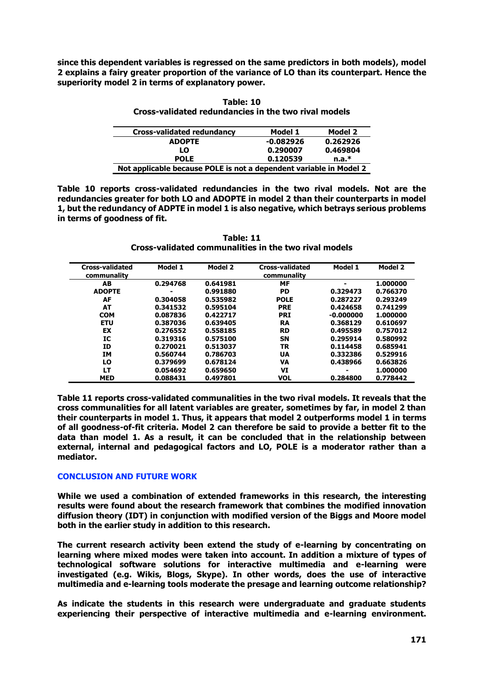**since this dependent variables is regressed on the same predictors in both models), model 2 explains a fairy greater proportion of the variance of LO than its counterpart. Hence the superiority model 2 in terms of explanatory power.**

**Table: 10 Cross-validated redundancies in the two rival models**

| Cross-validated redundancy                                         | Model 1     | Model 2  |  |  |
|--------------------------------------------------------------------|-------------|----------|--|--|
| <b>ADOPTE</b>                                                      | $-0.082926$ | 0.262926 |  |  |
| LO                                                                 | 0.290007    | 0.469804 |  |  |
| <b>POLE</b>                                                        | 0.120539    | $n.a.*$  |  |  |
| Not applicable because POLE is not a dependent variable in Model 2 |             |          |  |  |

**Table 10 reports cross-validated redundancies in the two rival models. Not are the redundancies greater for both LO and ADOPTE in model 2 than their counterparts in model 1, but the redundancy of ADPTE in model 1 is also negative, which betrays serious problems in terms of goodness of fit.**

**Table: 11 Cross-validated communalities in the two rival models**

| <b>Cross-validated</b><br>communality | Model 1  | Model 2  | <b>Cross-validated</b><br>communality | Model 1     | Model 2  |
|---------------------------------------|----------|----------|---------------------------------------|-------------|----------|
| AB                                    | 0.294768 | 0.641981 | MF                                    |             | 1.000000 |
| <b>ADOPTE</b>                         |          | 0.991880 | <b>PD</b>                             | 0.329473    | 0.766370 |
| AF                                    | 0.304058 | 0.535982 | <b>POLE</b>                           | 0.287227    | 0.293249 |
| AT                                    | 0.341532 | 0.595104 | <b>PRE</b>                            | 0.424658    | 0.741299 |
| <b>COM</b>                            | 0.087836 | 0.422717 | <b>PRI</b>                            | $-0.000000$ | 1.000000 |
| <b>ETU</b>                            | 0.387036 | 0.639405 | RA                                    | 0.368129    | 0.610697 |
| EX                                    | 0.276552 | 0.558185 | <b>RD</b>                             | 0.495589    | 0.757012 |
| IC                                    | 0.319316 | 0.575100 | <b>SN</b>                             | 0.295914    | 0.580992 |
| ID                                    | 0.270021 | 0.513037 | <b>TR</b>                             | 0.114458    | 0.685941 |
| IΜ                                    | 0.560744 | 0.786703 | UA                                    | 0.332386    | 0.529916 |
| LO                                    | 0.379699 | 0.678124 | VA                                    | 0.438966    | 0.663826 |
| LT                                    | 0.054692 | 0.659650 | VI                                    | ۰           | 1.000000 |
| <b>MED</b>                            | 0.088431 | 0.497801 | <b>VOL</b>                            | 0.284800    | 0.778442 |

**Table 11 reports cross-validated communalities in the two rival models. It reveals that the cross communalities for all latent variables are greater, sometimes by far, in model 2 than their counterparts in model 1. Thus, it appears that model 2 outperforms model 1 in terms of all goodness-of-fit criteria. Model 2 can therefore be said to provide a better fit to the data than model 1. As a result, it can be concluded that in the relationship between external, internal and pedagogical factors and LO, POLE is a moderator rather than a mediator.** 

## **CONCLUSION AND FUTURE WORK**

**While we used a combination of extended frameworks in this research, the interesting results were found about the research framework that combines the modified innovation diffusion theory (IDT) in conjunction with modified version of the Biggs and Moore model both in the earlier study in addition to this research.**

**The current research activity been extend the study of e-learning by concentrating on learning where mixed modes were taken into account. In addition a mixture of types of technological software solutions for interactive multimedia and e-learning were investigated (e.g. Wikis, Blogs, Skype). In other words, does the use of interactive multimedia and e-learning tools moderate the presage and learning outcome relationship?** 

**As indicate the students in this research were undergraduate and graduate students experiencing their perspective of interactive multimedia and e-learning environment.**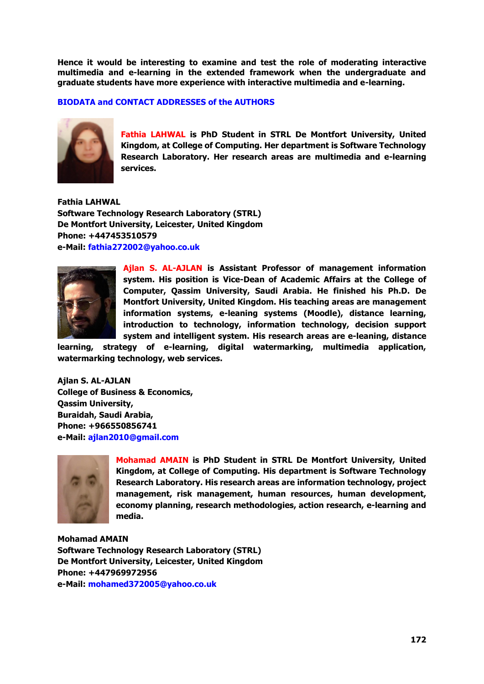**Hence it would be interesting to examine and test the role of moderating interactive multimedia and e-learning in the extended framework when the undergraduate and graduate students have more experience with interactive multimedia and e-learning.**

**BIODATA and CONTACT ADDRESSES of the AUTHORS**



**Fathia LAHWAL is PhD Student in STRL De Montfort University, United Kingdom, at College of Computing. Her department is Software Technology Research Laboratory. Her research areas are multimedia and e-learning services.**

**Fathia LAHWAL Software Technology Research Laboratory (STRL) De Montfort University, Leicester, United Kingdom Phone: +447453510579 e-Mail: fathia272002@yahoo.co.uk**



**Ajlan S. AL-AJLAN is Assistant Professor of management information system. His position is Vice-Dean of Academic Affairs at the College of Computer, Qassim University, Saudi Arabia. He finished his Ph.D. De Montfort University, United Kingdom. His teaching areas are management information systems, e-leaning systems (Moodle), distance learning, introduction to technology, information technology, decision support system and intelligent system. His research areas are e-leaning, distance** 

**learning, strategy of e-learning, digital watermarking, multimedia application, watermarking technology, web services.**

**Ajlan S. AL-AJLAN College of Business & Economics, Qassim University, Buraidah, Saudi Arabia, Phone: +966550856741 e-Mail: ajlan2010@gmail.com**



**Mohamad AMAIN is PhD Student in STRL De Montfort University, United Kingdom, at College of Computing. His department is Software Technology Research Laboratory. His research areas are information technology, project management, risk management, human resources, human development, economy planning, research methodologies, action research, e-learning and media.**

**Mohamad AMAIN Software Technology Research Laboratory (STRL) De Montfort University, Leicester, United Kingdom Phone: +447969972956 e-Mail: mohamed372005@yahoo.co.uk**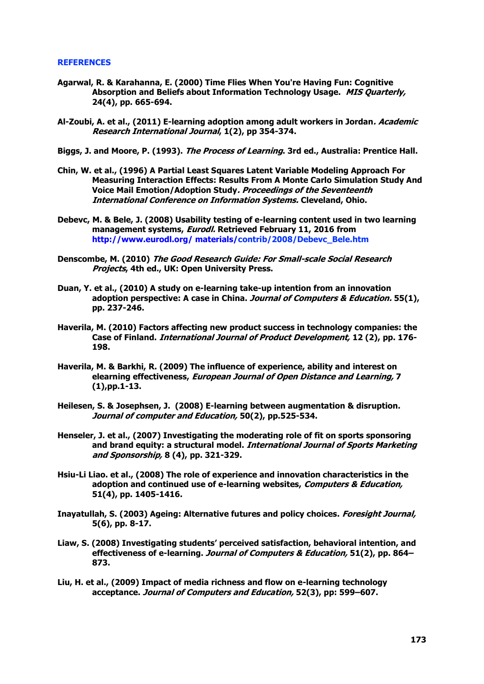## **REFERENCES**

- **Agarwal, R. & Karahanna, E. (2000) Time Flies When You're Having Fun: Cognitive Absorption and Beliefs about Information Technology Usage. MIS Quarterly, 24(4), pp. 665-694.**
- **Al-Zoubi, A. et al., (2011) E-learning adoption among adult workers in Jordan. Academic Research International Journal, 1(2), pp 354-374.**
- **Biggs, J. and Moore, P. (1993). The Process of Learning. 3rd ed., Australia: Prentice Hall.**
- **Chin, W. et al., (1996) A Partial Least Squares Latent Variable Modeling Approach For Measuring Interaction Effects: Results From A Monte Carlo Simulation Study And Voice Mail Emotion/Adoption Study. Proceedings of the Seventeenth International Conference on Information Systems. Cleveland, Ohio.**
- **Debevc, M. & Bele, J. (2008) Usability testing of e-learning content used in two learning management systems, Eurodl. Retrieved February 11, 2016 from [http://www.eurodl.org/ materials/c](http://www.eurodl.org/%20materials/)ontrib/2008/Debevc\_Bele.htm**
- **Denscombe, M. (2010) The Good Research Guide: For Small-scale Social Research Projects, 4th ed., UK: Open University Press.**
- **Duan, Y. et al., (2010) A study on e-learning take-up intention from an innovation adoption perspective: A case in China. Journal of Computers & Education. 55(1), pp. 237-246.**
- **Haverila, M. (2010) Factors affecting new product success in technology companies: the Case of Finland. International Journal of Product Development, 12 (2), pp. 176- 198.**
- **Haverila, M. & Barkhi, R. (2009) The influence of experience, ability and interest on elearning effectiveness, European Journal of Open Distance and Learning, 7 (1),pp.1-13.**
- **Heilesen, S. & Josephsen, J. (2008) E-learning between augmentation & disruption. Journal of computer and Education, 50(2), pp.525-534.**
- **Henseler, J. et al., (2007) Investigating the moderating role of fit on sports sponsoring and brand equity: a structural model. International Journal of Sports Marketing and Sponsorship, 8 (4), pp. 321-329.**
- **Hsiu-Li Liao. et al., (2008) The role of experience and innovation characteristics in the adoption and continued use of e-learning websites, Computers & Education, 51(4), pp. 1405-1416.**
- **Inayatullah, S. (2003) Ageing: Alternative futures and policy choices. Foresight Journal, 5(6), pp. 8-17.**
- **Liaw, S. (2008) Investigating students' perceived satisfaction, behavioral intention, and effectiveness of e-learning. Journal of Computers & Education, 51(2), pp. 864– 873.**
- **Liu, H. et al., (2009) Impact of media richness and flow on e-learning technology acceptance. Journal of Computers and Education, 52(3), pp: 599–607.**